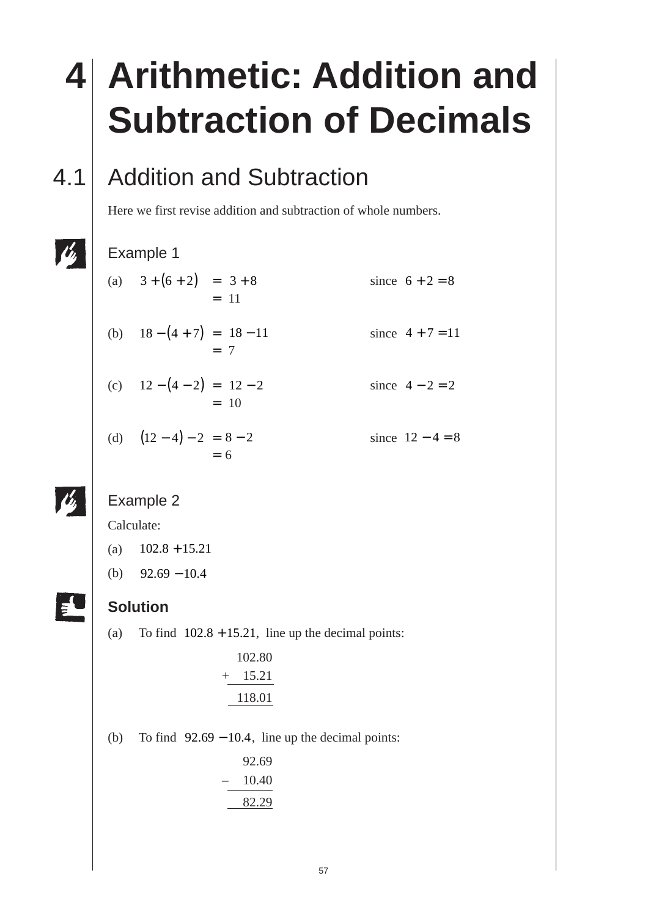# **4 Arithmetic: Addition and Subtraction of Decimals**

# 4.1 Addition and Subtraction

Here we first revise addition and subtraction of whole numbers.

#### Example 1

- (a)  $3 + (6 + 2) = 3 + 8$  since  $6 + 2 = 8$  $= 11$ (b)  $18 - (4 + 7) = 18 - 11$  since  $4 + 7 = 11$  $= 7$
- (c)  $12 (4 2) = 12 2$  since  $4 2 = 2$  $= 10$
- (d)  $(12-4)-2=8-2$  since  $12-4=8$  $= 6$

## Example 2

Calculate:

- (a)  $102.8 + 15.21$
- (b)  $92.69 10.4$

#### **Solution**

- (a) To find  $102.8 + 15.21$ , line up the decimal points:
	- 102.80 + 15.21 118.01
- (b) To find  $92.69 10.4$ , line up the decimal points:

| 92.69 |
|-------|
| 10.40 |
| 82.29 |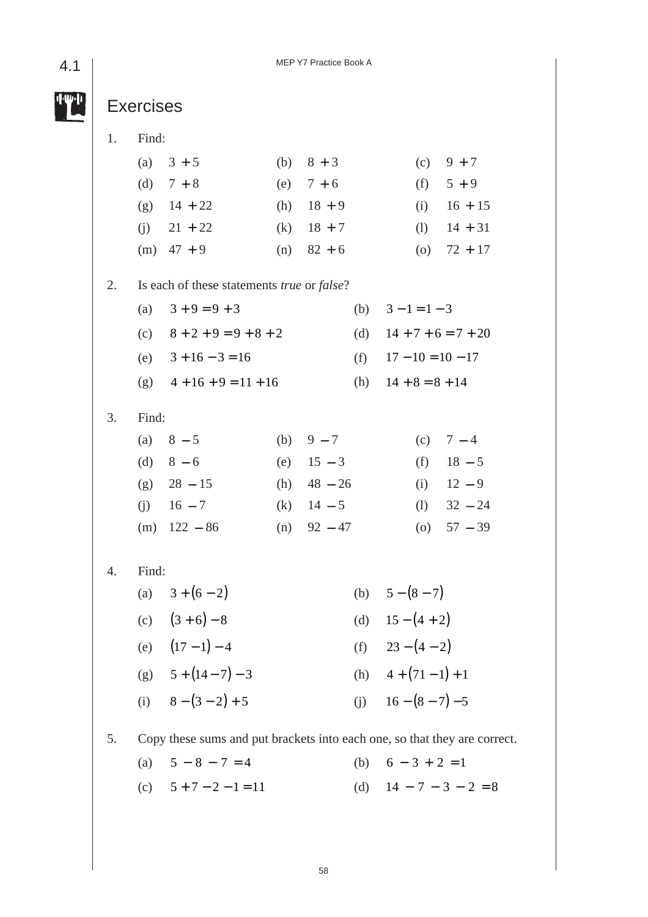MEP Y7 Practice Book A

|    | <b>Exercises</b> |                                                                           |     |              |     |                        |                          |
|----|------------------|---------------------------------------------------------------------------|-----|--------------|-----|------------------------|--------------------------|
| 1. | Find:            |                                                                           |     |              |     |                        |                          |
|    | (a)              | $3 + 5$                                                                   | (b) | $8 + 3$      |     | (c)                    | $9 + 7$                  |
|    | (d)              | $7 + 8$                                                                   | (e) | $7 + 6$      |     | (f)                    | $5 + 9$                  |
|    | (g)              | $14 + 22$                                                                 |     | (h) $18 + 9$ |     | (i)                    | $16 + 15$                |
|    |                  | (j) $21 + 22$                                                             |     | (k) $18 + 7$ |     | (1)                    | $14 + 31$                |
|    |                  | $(m)$ 47 + 9                                                              | (n) | $82 + 6$     |     | (0)                    | $72 + 17$                |
| 2. |                  | Is each of these statements true or false?                                |     |              |     |                        |                          |
|    | (a)              | $3 + 9 = 9 + 3$                                                           |     |              | (b) | $3 - 1 = 1 - 3$        |                          |
|    | (c)              | $8 + 2 + 9 = 9 + 8 + 2$                                                   |     |              | (d) |                        | $14 + 7 + 6 = 7 + 20$    |
|    |                  | (e) $3 + 16 - 3 = 16$                                                     |     |              | (f) | $17 - 10 = 10 - 17$    |                          |
|    | (g)              | $4+16+9=11+16$                                                            |     |              | (h) | $14 + 8 = 8 + 14$      |                          |
| 3. | Find:            |                                                                           |     |              |     |                        |                          |
|    | (a)              | $8 - 5$                                                                   | (b) | $9 - 7$      |     | (c)                    | $7 - 4$                  |
|    | (d)              | $8 - 6$                                                                   | (e) | $15 - 3$     |     | (f)                    | $18 - 5$                 |
|    | (g)              | $28 - 15$                                                                 | (h) | $48 - 26$    |     | (i)                    | $12 - 9$                 |
|    | (i)              | $16 - 7$                                                                  | (k) | $14 - 5$     |     | (1)                    | $32 - 24$                |
|    | (m)              | $122 - 86$                                                                | (n) | $92 - 47$    |     | (0)                    | $57 - 39$                |
| 4. | Find:            |                                                                           |     |              |     |                        |                          |
|    |                  | (a) $3 + (6 - 2)$                                                         |     |              |     | (b) $5-(8-7)$          |                          |
|    |                  | (c) $(3+6)-8$                                                             |     |              |     | (d) $15 - (4 + 2)$     |                          |
|    |                  | (e) $(17-1)-4$                                                            |     |              |     | (f) $23 - (4 - 2)$     |                          |
|    |                  | (g) $5 + (14 - 7) - 3$                                                    |     |              |     | (h) $4+(71-1)+1$       |                          |
|    |                  | (i) $8-(3-2)+5$                                                           |     |              |     | (j) $16 - (8 - 7) - 5$ |                          |
| 5. |                  | Copy these sums and put brackets into each one, so that they are correct. |     |              |     |                        |                          |
|    |                  | (a) $5-8-7=4$                                                             |     |              |     | (b) $6 - 3 + 2 = 1$    |                          |
|    |                  | (c) $5 + 7 - 2 - 1 = 11$                                                  |     |              |     |                        | (d) $14 - 7 - 3 - 2 = 8$ |
|    |                  |                                                                           |     |              |     |                        |                          |

58

## $4.1$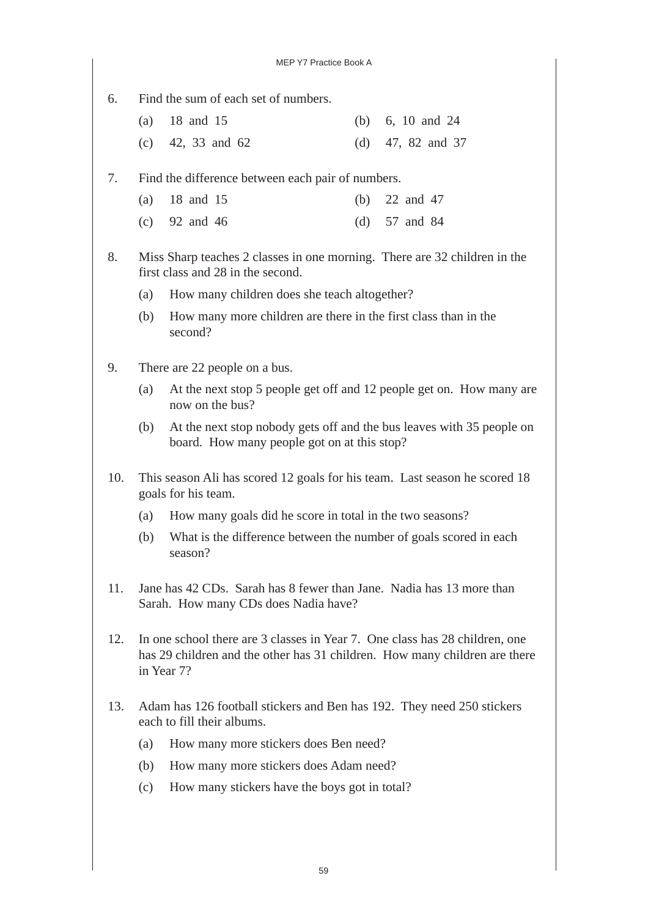6. Find the sum of each set of numbers. (a) 18 and 15 (b) 6, 10 and 24 (c) 42, 33 and 62 (d) 47, 82 and 37 7. Find the difference between each pair of numbers. (a) 18 and 15 (b) 22 and 47 (c) 92 and 46 (d) 57 and 84 8. Miss Sharp teaches 2 classes in one morning. There are 32 children in the first class and 28 in the second. (a) How many children does she teach altogether? (b) How many more children are there in the first class than in the second? 9. There are 22 people on a bus. (a) At the next stop 5 people get off and 12 people get on. How many are now on the bus? (b) At the next stop nobody gets off and the bus leaves with 35 people on board. How many people got on at this stop? 10. This season Ali has scored 12 goals for his team. Last season he scored 18 goals for his team. (a) How many goals did he score in total in the two seasons? (b) What is the difference between the number of goals scored in each season? 11. Jane has 42 CDs. Sarah has 8 fewer than Jane. Nadia has 13 more than Sarah. How many CDs does Nadia have? 12. In one school there are 3 classes in Year 7. One class has 28 children, one has 29 children and the other has 31 children. How many children are there in Year 7? 13. Adam has 126 football stickers and Ben has 192. They need 250 stickers each to fill their albums. (a) How many more stickers does Ben need? (b) How many more stickers does Adam need? (c) How many stickers have the boys got in total?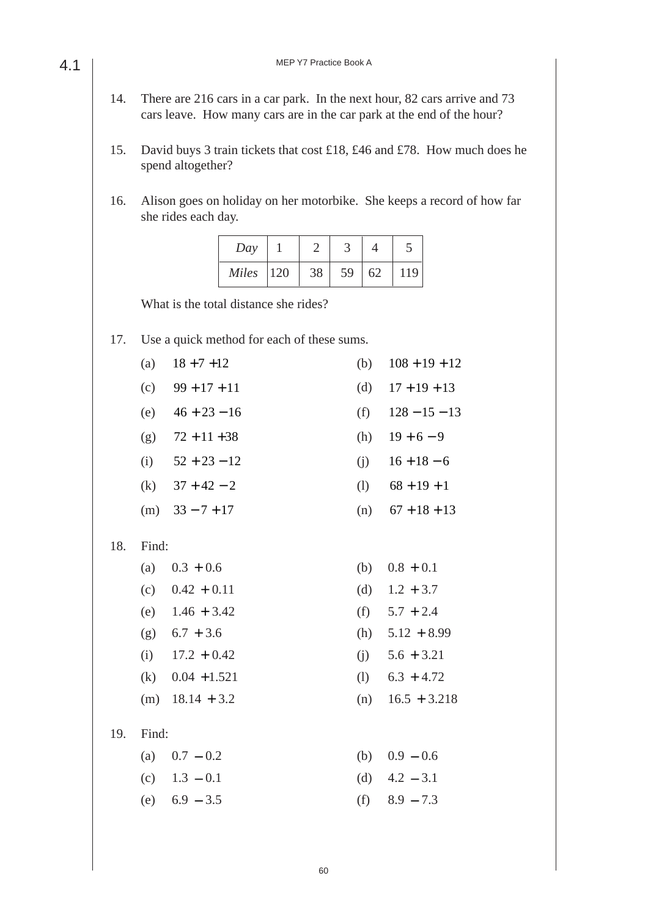- 14. There are 216 cars in a car park. In the next hour, 82 cars arrive and 73 cars leave. How many cars are in the car park at the end of the hour?
- 15. David buys 3 train tickets that cost £18, £46 and £78. How much does he spend altogether?
- 16. Alison goes on holiday on her motorbike. She keeps a record of how far she rides each day.

| Day           |    |    |    |     |
|---------------|----|----|----|-----|
| $Miles$   120 | 38 | 59 | 62 | 119 |

What is the total distance she rides?

17. Use a quick method for each of these sums.

| (a) | $18 + 7 + 12$     | (b) | $108 + 19 + 12$    |
|-----|-------------------|-----|--------------------|
| (c) | $99 + 17 + 11$    | (d) | $17 + 19 + 13$     |
| (e) | $46 + 23 - 16$    | (f) | $128 - 15 - 13$    |
| (g) | $72 + 11 + 38$    | (h) | $19 + 6 - 9$       |
| (i) | $52 + 23 - 12$    | (1) | $16 + 18 - 6$      |
| (k) | $37 + 42 - 2$     | (1) | $68 + 19 + 1$      |
|     | (m) $33 - 7 + 17$ |     | (n) $67 + 18 + 13$ |

18. Find:

|     | (a) $0.3 + 0.6$   |     | (b) $0.8 + 0.1$    |
|-----|-------------------|-----|--------------------|
| (c) | $0.42 + 0.11$     |     | (d) $1.2 + 3.7$    |
|     | (e) $1.46 + 3.42$ |     | (f) $5.7 + 2.4$    |
|     | (g) $6.7 + 3.6$   |     | (h) $5.12 + 8.99$  |
| (i) | $17.2 + 0.42$     |     | (i) $5.6 + 3.21$   |
| (k) | $0.04 + 1.521$    | (1) | $6.3 + 4.72$       |
|     | $(m)$ 18.14 + 3.2 |     | (n) $16.5 + 3.218$ |

19. Find:

| (a) $0.7 - 0.2$ | (b) $0.9 - 0.6$ |
|-----------------|-----------------|
| (c) $1.3 - 0.1$ | (d) $4.2 - 3.1$ |
| (e) $6.9 - 3.5$ | (f) $8.9 - 7.3$ |

4.1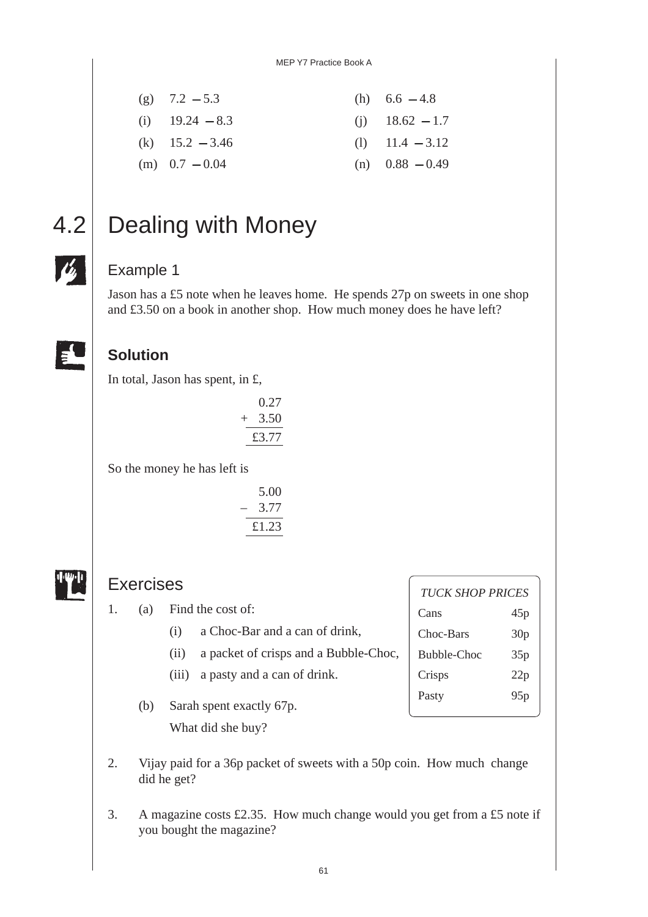| (g) $7.2 - 5.3$   | (h) $6.6 - 4.8$   |
|-------------------|-------------------|
| (i) $19.24 - 8.3$ | (i) $18.62 - 1.7$ |
| (k) $15.2 - 3.46$ | $(1)$ 11.4 – 3.12 |
| $(m)$ 0.7 – 0.04  | $(n)$ 0.88 - 0.49 |

# 4.2 Dealing with Money

#### Example 1

Jason has a £5 note when he leaves home. He spends 27p on sweets in one shop and £3.50 on a book in another shop. How much money does he have left?



## **Solution**

In total, Jason has spent, in £,

0.27 + 3.50 £3.77

So the money he has left is

| 5.00  |
|-------|
| 3.77  |
| £1.23 |

#### Exercises

- 1. (a) Find the cost of:
	- (i) a Choc-Bar and a can of drink,
	- (ii) a packet of crisps and a Bubble-Choc,
	- (iii) a pasty and a can of drink.
	- (b) Sarah spent exactly 67p. What did she buy?
- Choc-Bars 30p Bubble-Choc 35p Crisps 22p Pasty 95p

*TUCK SHOP PRICES* Cans 45p

- 2. Vijay paid for a 36p packet of sweets with a 50p coin. How much change did he get?
- 3. A magazine costs £2.35. How much change would you get from a £5 note if you bought the magazine?